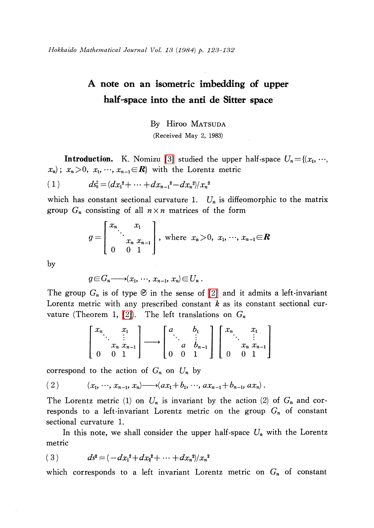# A note on an isometric imbedding of upper half-space into the anti de Sitter space

By Hiroo MATSUDA

(Received May 2, 1983)

**Introduction.** K. Nomizu [\[3\]](#page-9-0) studied the upper half-space  $U_{n} \! = \! \{ (x_{1}, \, \cdots,$  $\{x_{n}\}; \;x_{n}\!>\!0, \;x_{1}\!,\cdots\!, x_{n-1}\!\!\in\!\boldsymbol{R}\! \} \; \text{ with the Lorentz metric}$ 

(1) 
$$
ds_0^2 = (dx_1^2 + \cdots + dx_{n-1}^2 - dx_n^2)/x_n^2
$$

which has constant sectional curvature 1.  $U_{n}$  is diffeomorphic to the matrix group  $G_{n}$  consisting of all  $n\times n$  matrices of the form

$$
g = \begin{bmatrix} x_n & x_1 \\ \vdots & \vdots \\ x_n & x_{n-1} \\ 0 & 0 & 1 \end{bmatrix}, \text{ where } x_n > 0, x_1, \dots, x_{n-1} \in \mathbb{R}
$$

by

$$
g\in G_n\longrightarrow (x_1,\ldots,x_{n-1},x_n)\in U_n.
$$

The group  $G_{n}$  is of type  $\mathfrak{S}$  in the sense of [\[2\]](#page-9-1) and it admits a left-invariant Lorentz metric with any prescribed constant  $k$  as its constant sectional cur-vature (Theorem 1, [\[2\]\)](#page-9-1). The left translations on  $G_{n}$ 

$$
\begin{bmatrix} x_n & x_1 \\ \cdot & \cdot & \cdot \\ x_n & x_{n-1} \\ 0 & 0 & 1 \end{bmatrix} \longrightarrow \begin{bmatrix} a & b_1 \\ \cdot & \cdot & \cdot \\ a & b_{n-1} \\ 0 & 0 & 1 \end{bmatrix} \begin{bmatrix} x_n & x_1 \\ \cdot & \cdot & \cdot \\ x_n & x_{n-1} \\ 0 & 0 & 1 \end{bmatrix}
$$

correspond to the action of  $G_{n}$  on  $U_{n}$  by

(2)  $(x_{1}, \dots, x_{n-1}, x_{n}) \longrightarrow (ax_{1}+b_{1}, \dots, ax_{n-1}+b_{n-1}, ax_{n}).$ 

The Lorentz metric (1) on  $U_{n}$  is invariant by the action (2) of  $G_{n}$  and corresponds to a left-invariant Lorentz metric on the group  $G_{n}$  of constant sectional curvature 1.

In this note, we shall consider the upper half-space  $U_{n}$  with the Lorentz metric

$$
(3) \t ds2 = (-dx12+dx22+...+dxn2)/xn2
$$

which corresponds to a left invariant Lorentz metric on  $G_{n}$  of constant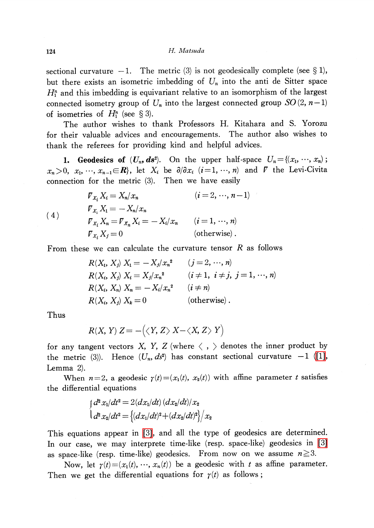sectional curvature  $-1$ . The metric (3) is not geodesically complete (see  $\S 1$ ), but there exists an isometric imbedding of  $U_{n}$  into the anti de Sitter space  $H_{1}^{n}$  and this imbedding is equivariant relative to an isomorphism of the largest connected isometry group of  $U_{n}$  into the largest connected group  $SO(2, n-1)$ of isometries of  $H_{1}^{n}$  (see  $\S 3$ ).

The author wishes to thank Professors H. Kitahara and S. Yorozu for their valuable advices and encouragements. The author also wishes to thank the referees for providing kind and helpful advices.

1. Geodesics of  $(\textbf{\emph{U}}_{n}, d\textbf{\emph{s}}^{2}).$  On the upper half-space  $U_{n}\!=\!\langle(x_{1},\,\cdots,\, x_{n})$ ;  $x_{n}>0, \ \ x_{1},\ \cdots, \ x_{n-1}\!\in\!\boldsymbol{R}\!,$  let  $X_{i}$  be  $\partial/\partial x_{i}$   $(i=1, \ \cdots, \ n)$  and  $\nabla$  the Levi-Civita connection for the metric (3). Then we have easily

$$
\begin{aligned}\n\mathcal{F}_{X_i} X_i &= X_n / x_n & (i = 2, \dots, n-1) \\
\mathcal{F}_{X_i} X_1 &= -X_n / x_n \\
\mathcal{F}_{X_i} X_n &= \mathcal{F}_{X_n} X_i = -X_i / x_n & (i = 1, \dots, n) \\
\mathcal{F}_{X_i} X_j &= 0 & \text{(otherwise)}\n\end{aligned}
$$

From these we can calculate the curvature tensor  $R$  as follows

$$
R(X_1, X_j) X_1 = -X_j/x_n^2 \t (j = 2, \dots, n)
$$
  
\n
$$
R(X_i, X_j) X_i = X_j/x_n^2 \t (i \neq 1, i \neq j, j = 1, \dots, n)
$$
  
\n
$$
R(X_i, X_n) X_n = -X_i/x_n^2 \t (i \neq n)
$$
  
\n
$$
R(X_i, X_j) X_k = 0 \t (otherwise).
$$

Thus

(4)

$$
R(X, Y) Z = -\big(\langle Y, Z \rangle X - \langle X, Z \rangle Y\big)
$$

for any tangent vectors X, Y, Z (where  $\langle$  ,  $\rangle$  denotes the inner product by the metric (3)). Hence  $(U_{n}, ds^{2})$  has constant sectional curvature  $-1$  [\(\[1\],](#page-9-2) Lemma 2).

When  $n=2$ , a geodesic  $\gamma(t)=(x_{1}(t), x_{2}(t))$  with affine parameter t satisfies the differential equations

$$
\int d^2 x_1/dt^2 = 2 \langle dx_1/dt \rangle \langle dx_2/dt \rangle / x_2
$$
  

$$
\int d^2 x_2/dt^2 = \left\{ (dx_1/dt)^2 + (dx_2/dt)^2 \right\} / x_2
$$

This equations appear in [\[3\],](#page-9-0) and all the type of geodesics are determined. In our case, we may interprete time-like (resp. space-like) geodesics in [\[3\]](#page-9-0) as space-like (resp. time-like) geodesics. From now on we assume  $n\!\geq\! 3.$ 

Now, let  $\gamma(t)=(x_{1}(t), \dots, x_{n}(t))$  be a geodesic with t as affine parameter. Then we get the differential equations for  $\gamma(t)$  as follows;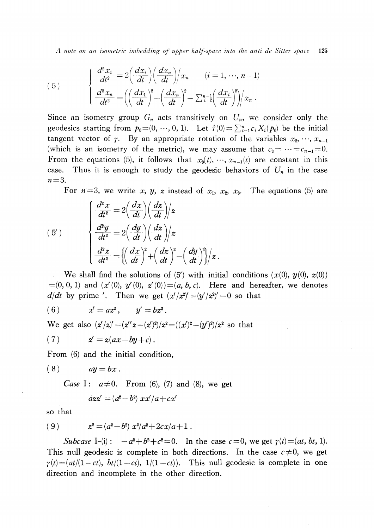A note on an isometric imbedding of upper half-space into the anti de Sitter space 125

(5) 
$$
\begin{cases} \frac{d^2x_i}{dt^2} = 2\left(\frac{dx_i}{dt}\right)\left(\frac{dx_n}{dt}\right)/x_n & (i = 1, \dots, n-1) \\ \frac{d^2x_n}{dt^2} = \left(\left(\frac{dx_1}{dt}\right)^2 + \left(\frac{dx_n}{dt}\right)^2 - \sum_{i=2}^{n-1} \left(\frac{dx_i}{dt}\right)^2\right)/x_n. \end{cases}
$$

Since an isometry group  $G_{n}$  acts transitively on  $U_{n},$  we consider only the geodesics starting from  $p_{0}=(0, \ldots, 0, 1)$ . Let  $\dot{\tau}(0)=\sum_{i=1}^{n}c_{i}X_{i}(p_{0})$  be the initial tangent vector of  $\gamma$ . By an appropriate rotation of the variables  $x_2, \cdots, x_{n-1}$ (which is an isometry of the metric), we may assume that  $c_{3}=\cdots=c_{n-1}=0$  . From the equations (5), it follows that  $x_{3}(t),\,\cdots,$   $x_{n-1}(t)$  are constant in this case. Thus it is enough to study the geodesic behaviors of  $U_{n}$  in the case  $n=3$ .

For  $n=3$ , we write x, y, z instead of  $x_{1}$ ,  $x_{2}$ ,  $x_{3}$ . The equations (5) are

(5')
$$
\begin{cases}\n\frac{d^2x}{dt^2} = 2\left(\frac{dx}{dt}\right)\left(\frac{dz}{dt}\right)z \\
\frac{d^2y}{dt^2} = 2\left(\frac{dy}{dt}\right)\left(\frac{dz}{dt}\right)z \\
\frac{d^2z}{dt^2} = \left\{\left(\frac{dx}{dt}\right)^2 + \left(\frac{dz}{dt}\right)^2 - \left(\frac{dy}{dt}\right)^2\right\}z.\n\end{cases}
$$

We shall find the solutions of (5') with initial conditions  $(x(0), y(0), z(0))$  $x=(0,0,1)$  and  $(x'(0), y'(0), z'(0))=(a, b, c)$ . Here and hereafter, we denotes  $d/dt$  by prime'. Then we get  $(x'/z^{2})'=(y'/z^{2})'=0$  so that

(6) 
$$
x' = az^2
$$
,  $y' = bz^2$ .

We get also  $(z'/z)'=(z''z-(z')^{2})/z^{2}=((x')^{2}-(y')^{2})/z^{2}$  so that

$$
(7) \t z' = z(ax - by + c).
$$

From (6) and the initial condition,

$$
(8) \t\t ay = bx.
$$

*Case* I:  $a \neq 0$ . From (6), (7) and (8), we get

$$
azz' = (a^2 - b^2) x x' / a + cx'
$$

so that

$$
(9) \t z2 = (a2 - b2) x2/a2 + 2cx/a + 1.
$$

Subcase I-(i):  $-a^{2}+b^{2}+c^{2}=0$ . In the case  $c=0$ , we get  $\gamma(t)=(at, bt, 1)$ . This null geodesic is complete in both directions. In the case  $c\neq 0$ , we get  $\gamma(t)=(at/(1-ct), bt/(1-ct), 1/(1-ct)).$  This null geodesic is complete in one direction and incomplete in the other direction.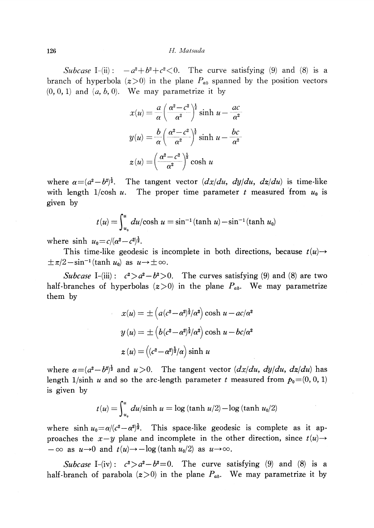Subcase I-(ii):  $-a^{2}+b^{2}+c^{2}<0$ . The curve satisfying (9) and (8) is a branch of hyperbola  $(z>0)$  in the plane  $P_{ab}$  spanned by the position vectors  $(0, 0, 1)$  and  $(a, b, 0)$ . We may parametrize it by

$$
x(u) = \frac{a}{\alpha} \left(\frac{\alpha^2 - c^2}{\alpha^2}\right)^{\frac{1}{2}} \sinh u - \frac{ac}{\alpha^2}
$$

$$
y(u) = \frac{b}{\alpha} \left(\frac{\alpha^2 - c^2}{\alpha^2}\right)^{\frac{1}{2}} \sinh u - \frac{bc}{\alpha^2}
$$

$$
z(u) = \left(\frac{\alpha^2 - c^2}{\alpha^2}\right)^{\frac{1}{2}} \cosh u
$$

where  $\alpha{=}(a^{2}-b^{2})^{\frac{1}{2}}$ . The tangent vector  $(dx/du, dy/du, dz/du)$  is time-like with length  $1/\cosh u$ . The proper time parameter t measured from  $u_{0}$  is given by

$$
t(u) = \int_{u_0}^{u} du/\cosh u = \sin^{-1}(\tanh u) - \sin^{-1}(\tanh u_0)
$$

where sinh  $u_{0}=c/(\alpha^{2}-c^{2})^{\frac{1}{2}}$ .

This time-like geodesic is incomplete in both directions, because  $t(u) \rightarrow$  $\pm\pi/2-\sin^{-1}(\tanh u_{0})$  as  $u\rightarrow\pm\infty$ .

Subcase I-(iii):  $c^{2}>a^{2}-b^{2}>0$ . The curves satisfying (9) and (8) are two half-branches of hyperbolas (z ${>}0)$  in the plane  $P_{ab}.$  We may parametrize them by

$$
x(u) = \pm \left( a(c^2 - \alpha^2)^{\frac{1}{2}} / \alpha^2 \right) \cosh u - ac / \alpha^2
$$

$$
y(u) = \pm \left( b(c^2 - \alpha^2)^{\frac{1}{2}} / \alpha^2 \right) \cosh u - bc / \alpha^2
$$

$$
z(u) = \left( (c^2 - \alpha^2)^{\frac{1}{2}} / \alpha \right) \sinh u
$$

where  $\alpha=(a^{2}-b^{2})^{\frac{1}{2}}$  and  $u>0$ . The tangent vector  $\frac{dx}{du}$ ,  $\frac{dy}{du}$ ,  $\frac{dz}{du}$  has length  $1/\sinh u$  and so the arc-length parameter t measured from  $p_{0}=(0,0,1)$ is given by

$$
t(u) = \int_{u_0}^{u} du/\sinh u = \log(\tanh u/2) - \log(\tanh u_0/2)
$$

where sinh  $u_{0} = \alpha/(c^{2}-\alpha^{2})^{\frac{1}{2}}$ . This space-like geodesic is complete as it approaches the  $x-y$  plane and incomplete in the other direction, since  $t(u) \rightarrow$  $-\infty$  as  $u\rightarrow 0$  and  $t(u)\rightarrow -\log (\tanh u_{0}/2)$  as  $u\rightarrow \infty$ .

Subcase I-(iv):  $c^{2}>a^{2}-b^{2}=0$ . The curve satisfying (9) and (8) is a half-branch of parabola ( $\bm{z}\!>\!0$ ) in the plane  $P_{\bm{a}b}.$  We may parametrize it by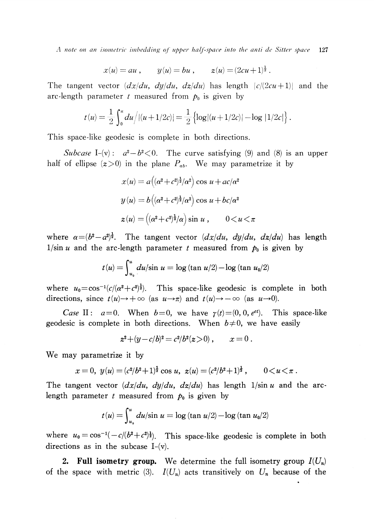A note on an isometric imbedding of upper half-space into the anti de Sitter space <sup>127</sup>

$$
x(u) = au
$$
,  $y(u) = bu$ ,  $z(u) = (2cu+1)^{\frac{1}{2}}$ 

The tangent vector  $\frac{dx}{du}$ ,  $\frac{dy}{du}$ ,  $\frac{dz}{du}$  has length  $\frac{|c|}{2cu+1}$  and the arc-length parameter t measured from  $p_{0}$  is given by

$$
t(u) = \frac{1}{2} \int_0^u du \Big/ |(u+1/2c)| = \frac{1}{2} \Big\{ \log |(u+1/2c)| - \log |1/2c| \Big\}.
$$

This space-like geodesic is complete in both directions.

Subcase I-(v):  $a^{2}-b^{2}<0$ . The curve satisfying (9) and (8) is an upper half of ellipse  $(\bm{z}{>}0)$  in the plane  $P_{ab}.$  We may parametrize it by

$$
x(u) = a((\alpha^2 + c^2)^{\frac{1}{2}}/\alpha^2) \cos u + ac/\alpha^2
$$
  

$$
y(u) = b((\alpha^2 + c^2)^{\frac{1}{2}}/\alpha^2) \cos u + bc/\alpha^2
$$
  

$$
z(u) = ((\alpha^2 + c^2)^{\frac{1}{2}}/\alpha) \sin u, \qquad 0 < u < \pi
$$

where  $\alpha{=}(b^{2}{-}a^{2})^{\frac{1}{2}}.$  The tangent vector  $(d\mathit{x}/du, \ dy/du, \ dz/du)$  has length  $1/\sin u$  and the arc-length parameter t measured from  $p_{0}$  is given by

$$
t(u) = \int_{u_0}^{u} du/\sin u = \log(\tan u/2) - \log(\tan u_0/2)
$$

where  $u_{0} = \cos^{-1}(c/(\alpha^{2}+c^{2})^{\frac{1}{2}})$ . This space-like geodesic is complete in both directions, since  $t(u)\rightarrow+\infty$  (as  $u\rightarrow\pi$ ) and  $t(u)\rightarrow-\infty$  (as  $u\rightarrow 0$ ).

*Case* II:  $a=0$ . When  $b=0$ , we have  $\gamma(t)=(0,0, e^{ct})$ . This space-like geodesic is complete in both directions. When  $b\!\neq\! 0,$  we have easily

$$
z^2 + (y - c/b)^2 = c^2/b^2(z > 0) , \qquad x = 0 .
$$

We may parametrize it by

$$
x=0, y(u)=(c^2/b^2+1)^{\frac{1}{2}}\cos u, z(u)=(c^2/b^2+1)^{\frac{1}{2}}, \qquad 0.
$$

The tangent vector  $\frac{dx}{du}$ ,  $\frac{dy}{du}$ ,  $\frac{dz}{du}$  has length  $\frac{1}{\sin u}$  and the arclength parameter *t* measured from  $p_{0}$  is given by

$$
t(u) = \int_{u_0}^{u} du/\sin u = \log (\tan u/2) - \log (\tan u_0/2)
$$

where  $u_{0} = \cos^{-1}(-c/(b^{2}+c^{2})_{2}^{1})$ . This space-like geodesic is complete in both directions as in the subcase  $I-(v)$ .

2. Full isometry group. We determine the full isometry group  $I(U_{n})$ of the space with metric (3).  $I(U_{n})$  acts transitively on  $U_{n}$  because of the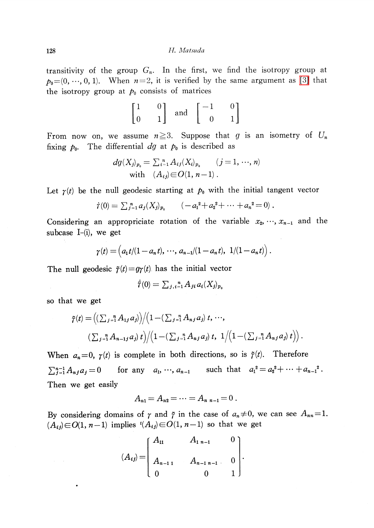transitivity of the group  $G_{n}$ . In the first, we find the isotropy group at  $p_{0}=(0, \ldots, 0, 1)$ . When  $n=2$ , it is verified by the same argument as [\[3\]](#page-9-0) that the isotropy group at  $p_{0}$  consists of matrices

$$
\begin{bmatrix} 1 & 0 \\ 0 & 1 \end{bmatrix} \quad \text{and} \quad \begin{bmatrix} -1 & 0 \\ 0 & 1 \end{bmatrix}
$$

From now on, we assume  $n\geq 3$ . Suppose that  $g$  is an isometry of  $U_{n}$ fixing  $p_{0}$ . The differential  $dg$  at  $p_{0}$  is described as

$$
dg(X_j)_{p_0} = \sum_{i=1}^n A_{ij}(X_i)_{p_0} \qquad (j = 1, \dots, n)
$$
  
with  $(A_{ij}) \in O(1, n-1)$ .

Let  $\gamma(t)$  be the null geodesic starting at  $p_{0}$  with the initial tangent vector

$$
\dot{\tau}(0) = \sum_{j=1}^n a_j (X_j)_{p_0} \qquad (-a_1^2 + a_2^2 + \cdots + a_n^2 = 0) .
$$

Considering an appropriciate rotation of the variable  $x_2, \, \cdots, \, x_{n-1}$  and the subcase  $I-(i)$ , we get

$$
\gamma(t) = (a_1 t/(1 - a_n t), \cdots, a_{n-1}/(1 - a_n t), \ 1/(1 - a_n t)).
$$

The null geodesic  $\tilde{\gamma}(t)=g\gamma(t)$  has the initial vector

$$
\tilde{r}(0)=\sum_{j,i=1}^n A_{ji} a_i(X_j)_{p_0}
$$

so that we get

$$
\tilde{\tau}(t) = \left( \left( \sum_{j=1}^n A_{1j} a_j \right) \right) / \left( 1 - \left( \sum_{j=1}^n A_{nj} a_j \right) t, \cdots, \left( \sum_{j=1}^n A_{n-1j} a_j \right) t \right) / \left( 1 - \left( \sum_{j=1}^n A_{nj} a_j \right) t, \ 1 / \left( 1 - \left( \sum_{j=1}^n A_{nj} a_j \right) t \right) \right).
$$

When  $a_{n}=0, \ \gamma(t)$  is complete in both directions, so is  $\tilde{\gamma}(t)$ . Therefore  $\sum_{j=1}^{n-1}A_{nj}a_{j}=0$  for any  $a_{1}, \dots, a_{n-1}$  such that  $a_{1}^{2}=a_{2}^{2}+\cdots+a_{n-1}^{2}$ Then we get easily

$$
A_{n1}=A_{n2}=\cdots=A_{n n-1}=0.
$$

By considering domains of  $\gamma$  and  $\tilde{\gamma}$  in the case of  $a_{n}\neq 0$ , we can see  $A_{nn}=1$ .  $(A_{ij})\in O(1, n-1)$  implies  ${}^{t}(A_{ij})\in O(1, n-1)$  so that we get

$$
(A_{ij}) = \begin{bmatrix} A_{11} & A_{1 n-1} & 0 \\ A_{n-1 1} & A_{n-1 n-1} & 0 \\ 0 & 0 & 1 \end{bmatrix}.
$$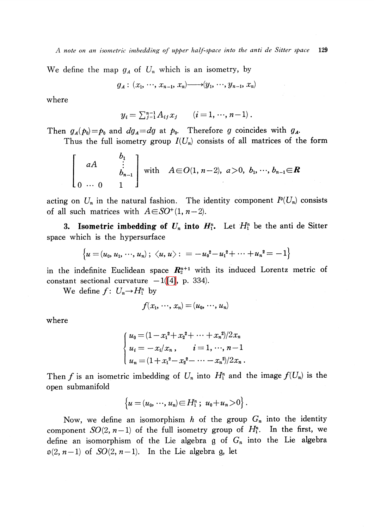We define the map  $g_{A}$  of  $U_{n}$  which is an isometry, by

$$
g_A: (x_1, \ldots, x_{n-1}, x_n) \longrightarrow (y_1, \ldots, y_{n-1}, x_n)
$$

where

$$
y_i = \sum_{j=1}^{n-1} A_{ij} x_j \qquad (i = 1, \, \cdots, n-1) \, .
$$

Then  $g_{A}(p_{0})=p_{0}$  and  $dg_{A}=dg$  at  $p_{0}$ . Therefore g coincides with  $g_{A}$ . Thus the full isometry group  $I(U_{n})$  consists of all matrices of the form

$$
\begin{bmatrix}\n aA & b_1 \\
 b_{n-1} \\
 0 & \cdots & 0\n\end{bmatrix}
$$
 with  $A \in O(1, n-2), a > 0, b_1, \cdots, b_{n-1} \in \mathbb{R}$ 

acting on  $U_{n}$  in the natural fashion. The identity component  $I^{0}(U_{n})$  consists of all such matrices with  $A \in SO^{+}(1, n-2)$ .

3. Isometric imbedding of  $\boldsymbol{U_{n}}$  into  $\boldsymbol{H_{1}^{n}}$ . Let  $H_{1}^{n}$  be the anti de Sitter space which is the hypersurface

$$
\{u=(u_0, u_1, \cdots, u_n); \langle u, u \rangle: = -u_0^2 - u_1^2 + \cdots + u_n^2 = -1\}
$$

in the indefinite Euclidean space  $\mathbb{R}_{2}^{n+1}$  with its induced Lorentz metric of constant sectional curvature  $-1([4], p. 334)$  $-1([4], p. 334)$  $-1([4], p. 334)$ .

We define  $f: U_{n} \rightarrow H_{1}^{n}$  by

$$
f(x_1,\,\cdots,\,x_n)=(u_0,\,\cdots,\,u_n)
$$

where

$$
\begin{cases}\nu_0 = (1 - x_1^2 + x_2^2 + \dots + x_n^2)/2x_n \\
u_i = -x_i/x_n, \quad i = 1, \dots, n-1 \\
u_n = (1 + x_1^2 - x_2^2 - \dots - x_n^2)/2x_n.\n\end{cases}
$$

Then f is an isometric imbedding of  $U_{n}$  into  $H_{1}^{n}$  and the image  $f(U_{n})$  is the open submanifold

$$
\{u=(u_0,\,\cdots,\,u_n)\in H_1^n\;;\;u_0+u_n>0\}\,.
$$

Now, we define an isomorphism h of the group  $G_{n}$  into the identity component  $SO(2, n-1)$  of the full isometry group of  $H_{1}^{n}$ . In the first, we define an isomorphism of the Lie algebra  $\mathfrak{g}$  of  $G_{n}$  into the Lie algebra  $p(2, n-1)$  of  $SO(2, n-1)$ . In the Lie algebra g, let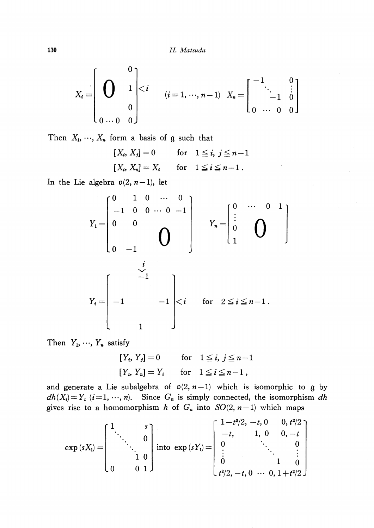$$
X_i = \begin{bmatrix} 0 & 0 \\ 0 & 1 \\ 0 & 0 \\ 0 & 0 & 0 \end{bmatrix} < i \qquad (i = 1, \dots, n-1) \quad X_n = \begin{bmatrix} -1 & 0 \\ 0 & 0 \\ 0 & 0 & 0 \end{bmatrix}
$$

Then  $X_{1}, \cdots, X_{n}$  form a basis of  ${\mathfrak{g}}$  such that

 $[X_{i}, X_{j}]=0 \qquad \text{for} \quad 1\leq i, \ j\leq n\!-\!1$  $[X_{i}, X_{n}] = X_{i}$  for  $1 \leq i \leq n-1$ .

In the Lie algebra  $p(2, n-1)$ , let

$$
Y_{1} = \begin{bmatrix} 0 & 1 & 0 & \cdots & 0 \\ -1 & 0 & 0 & \cdots & 0 & -1 \\ 0 & 0 & & & \\ 0 & -1 & & & \\ & & & \vdots & & \\ & & & & \vdots & \\ & & & & -1 & \\ & & & & -1 & \\ & & & & & 1 \end{bmatrix} \times i \quad \text{for} \quad 2 \leq i \leq n-1.
$$

Then  $Y_1, \cdots, Y_n$  satisfy

 $[Y_{i}, Y_{j}]=0 \qquad \text{for} \quad 1\leq i, \ j\leq n\!-\!1$  $[Y_{i}, Y_{n}] = Y_{i}$  for  $1 \leq i \leq n-1$ ,

and generate a Lie subalgebra of  $\mathfrak{v}(2, n-1)$  which is isomorphic to  $\mathfrak{g}$  by  $dh(X_{i})=Y_{i}$  (i=1,  $\cdots$ , n). Since  $G_{n}$  is simply connected, the isomorphism  $dh$ gives rise to a homomorphism h of  $G_{n}$  into  $SO(2, n-1)$  which maps

$$
\exp(sX_1) = \begin{bmatrix} 1 & & & s \\ & \ddots & & 0 \\ & & \ddots & 0 \\ & & & 1 & 0 \\ 0 & & 0 & 1 \end{bmatrix} \text{ into } \exp(sY_1) = \begin{bmatrix} 1-t^2/2, -t, 0 & 0, t^2/2 \\ -t, & 1, 0 & 0, -t \\ 0 & & \ddots & 0 \\ \vdots & & \ddots & \vdots \\ 0 & & 1 & 0 \\ t^2/2, -t, 0 & \cdots & 0, 1+t^2/2 \end{bmatrix}
$$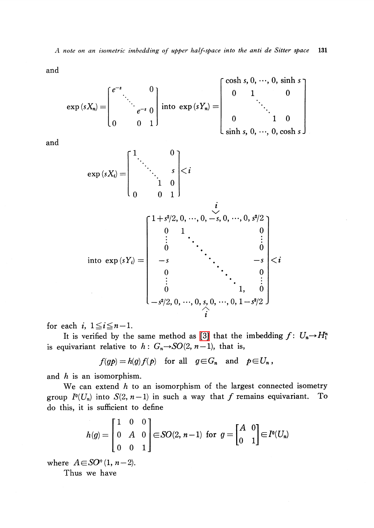and

$$
\exp(sX_n) = \begin{bmatrix} e^{-s} & 0 \\ \ddots & 0 \\ 0 & 0 & 1 \end{bmatrix} \text{ into } \exp(sY_n) = \begin{bmatrix} \cosh s, 0, \cdots, 0, \sinh s \\ 0 & 1 & 0 \\ \vdots & \ddots & \vdots \\ 0 & 1 & 0 \\ \sinh s, 0, \cdots, 0, \cosh s \end{bmatrix}
$$

and

$$
\exp(sX_i) = \begin{bmatrix} 1 & 0 \\ \ddots & \ddots & 0 \\ 0 & 0 & 1 \end{bmatrix} < i
$$
  
\n
$$
\text{into } \exp(sY_i) = \begin{bmatrix} 1 + s^2/2, 0, \dots, 0, -s, 0, \dots, 0, s^2/2 \\ 0 & 1 & 0 \\ \vdots & \ddots & \vdots \\ 0 & \ddots & 0 \\ -s & \ddots & \ddots & 0 \\ 0 & \ddots & \ddots & 0 \\ \vdots & \ddots & \ddots & \vdots \\ 0 & \ddots & \ddots & 0 \\ 0 & \ddots & \ddots & \vdots \\ 0 & \ddots & \ddots & 0 \\ -s^2/2, 0, \dots, 0, s, 0, \dots, 0, 1 - s^2/2 \end{bmatrix} < i
$$

for each  $i, 1 \leq i \leq n-1$ .

It is verified by the same method as [\[3\]](#page-9-0) that the imbedding  $f:U_{n}\rightarrow H_{1}^{n}$ is equivariant relative to  $h: G_{n} {\rightarrow} SO(2, n-1),$  that is,

$$
f(qp) = h(q)f(p)
$$
 for all  $q \in G_n$  and  $p \in U_n$ ,

and  $h$  is an isomorphism.

We can extend  $h$  to an isomorphism of the largest connected isometry group  $I^{0}(U_{n})$  into  $S(2, n-1)$  in such a way that f remains equivariant. To do this, it is sufficient to define

$$
h(g) = \begin{bmatrix} 1 & 0 & 0 \\ 0 & A & 0 \\ 0 & 0 & 1 \end{bmatrix} \in SO(2, n-1) \text{ for } g = \begin{bmatrix} A & 0 \\ 0 & 1 \end{bmatrix} \in I^0(U_n)
$$

where  $A \in SO^{+}(1, n-2)$ .

Thus we have